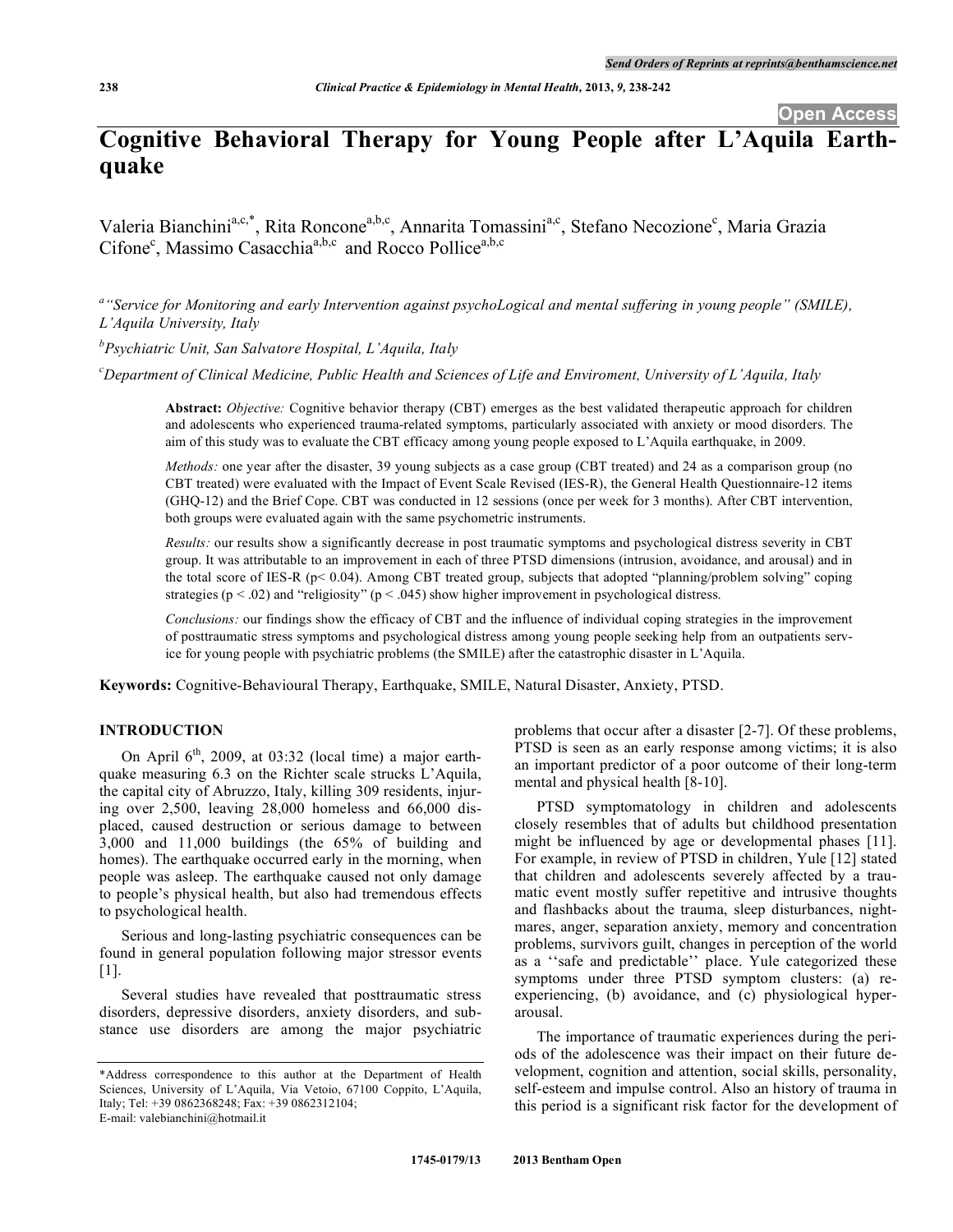# **Cognitive Behavioral Therapy for Young People after L'Aquila Earthquake**

Valeria Bianchini<sup>a,c,\*</sup>, Rita Roncone<sup>a,b,c</sup>, Annarita Tomassini<sup>a,c</sup>, Stefano Necozione<sup>c</sup>, Maria Grazia Cifone<sup>c</sup>, Massimo Casacchia<sup>a,b,c</sup> and Rocco Pollice<sup>a,b,c</sup>

a "Service for Monitoring and early Intervention against psychoLogical and mental suffering in young people" (SMILE), *L'Aquila University, Italy*

*b Psychiatric Unit, San Salvatore Hospital, L'Aquila, Italy*

C Department of Clinical Medicine, Public Health and Sciences of Life and Enviroment, University of L'Aquila, Italy

**Abstract:** *Objective:* Cognitive behavior therapy (CBT) emerges as the best validated therapeutic approach for children and adolescents who experienced trauma-related symptoms, particularly associated with anxiety or mood disorders. The aim of this study was to evaluate the CBT efficacy among young people exposed to L'Aquila earthquake, in 2009.

*Methods:* one year after the disaster, 39 young subjects as a case group (CBT treated) and 24 as a comparison group (no CBT treated) were evaluated with the Impact of Event Scale Revised (IES-R), the General Health Questionnaire-12 items (GHQ-12) and the Brief Cope. CBT was conducted in 12 sessions (once per week for 3 months). After CBT intervention, both groups were evaluated again with the same psychometric instruments.

*Results:* our results show a significantly decrease in post traumatic symptoms and psychological distress severity in CBT group. It was attributable to an improvement in each of three PTSD dimensions (intrusion, avoidance, and arousal) and in the total score of IES-R (p< 0.04). Among CBT treated group, subjects that adopted "planning/problem solving" coping strategies ( $p < .02$ ) and "religiosity" ( $p < .045$ ) show higher improvement in psychological distress.

*Conclusions:* our findings show the efficacy of CBT and the influence of individual coping strategies in the improvement of posttraumatic stress symptoms and psychological distress among young people seeking help from an outpatients service for young people with psychiatric problems (the SMILE) after the catastrophic disaster in L'Aquila.

**Keywords:** Cognitive-Behavioural Therapy, Earthquake, SMILE, Natural Disaster, Anxiety, PTSD.

## **INTRODUCTION**

On April  $6<sup>th</sup>$ , 2009, at 03:32 (local time) a major earthquake measuring 6.3 on the Richter scale strucks L'Aquila, the capital city of Abruzzo, Italy, killing 309 residents, injuring over 2,500, leaving 28,000 homeless and 66,000 displaced, caused destruction or serious damage to between 3,000 and 11,000 buildings (the 65% of building and homes). The earthquake occurred early in the morning, when people was asleep. The earthquake caused not only damage to people's physical health, but also had tremendous effects to psychological health.

Serious and long-lasting psychiatric consequences can be found in general population following major stressor events [1].

Several studies have revealed that posttraumatic stress disorders, depressive disorders, anxiety disorders, and substance use disorders are among the major psychiatric problems that occur after a disaster [2-7]. Of these problems, PTSD is seen as an early response among victims; it is also an important predictor of a poor outcome of their long-term mental and physical health [8-10].

PTSD symptomatology in children and adolescents closely resembles that of adults but childhood presentation might be influenced by age or developmental phases [11]. For example, in review of PTSD in children, Yule [12] stated that children and adolescents severely affected by a traumatic event mostly suffer repetitive and intrusive thoughts and flashbacks about the trauma, sleep disturbances, nightmares, anger, separation anxiety, memory and concentration problems, survivors guilt, changes in perception of the world as a ''safe and predictable'' place. Yule categorized these symptoms under three PTSD symptom clusters: (a) reexperiencing, (b) avoidance, and (c) physiological hyperarousal.

The importance of traumatic experiences during the periods of the adolescence was their impact on their future development, cognition and attention, social skills, personality, self-esteem and impulse control. Also an history of trauma in this period is a significant risk factor for the development of

<sup>\*</sup>Address correspondence to this author at the Department of Health Sciences, University of L'Aquila, Via Vetoio, 67100 Coppito, L'Aquila, Italy; Tel: +39 0862368248; Fax: +39 0862312104; E-mail: valebianchini@hotmail.it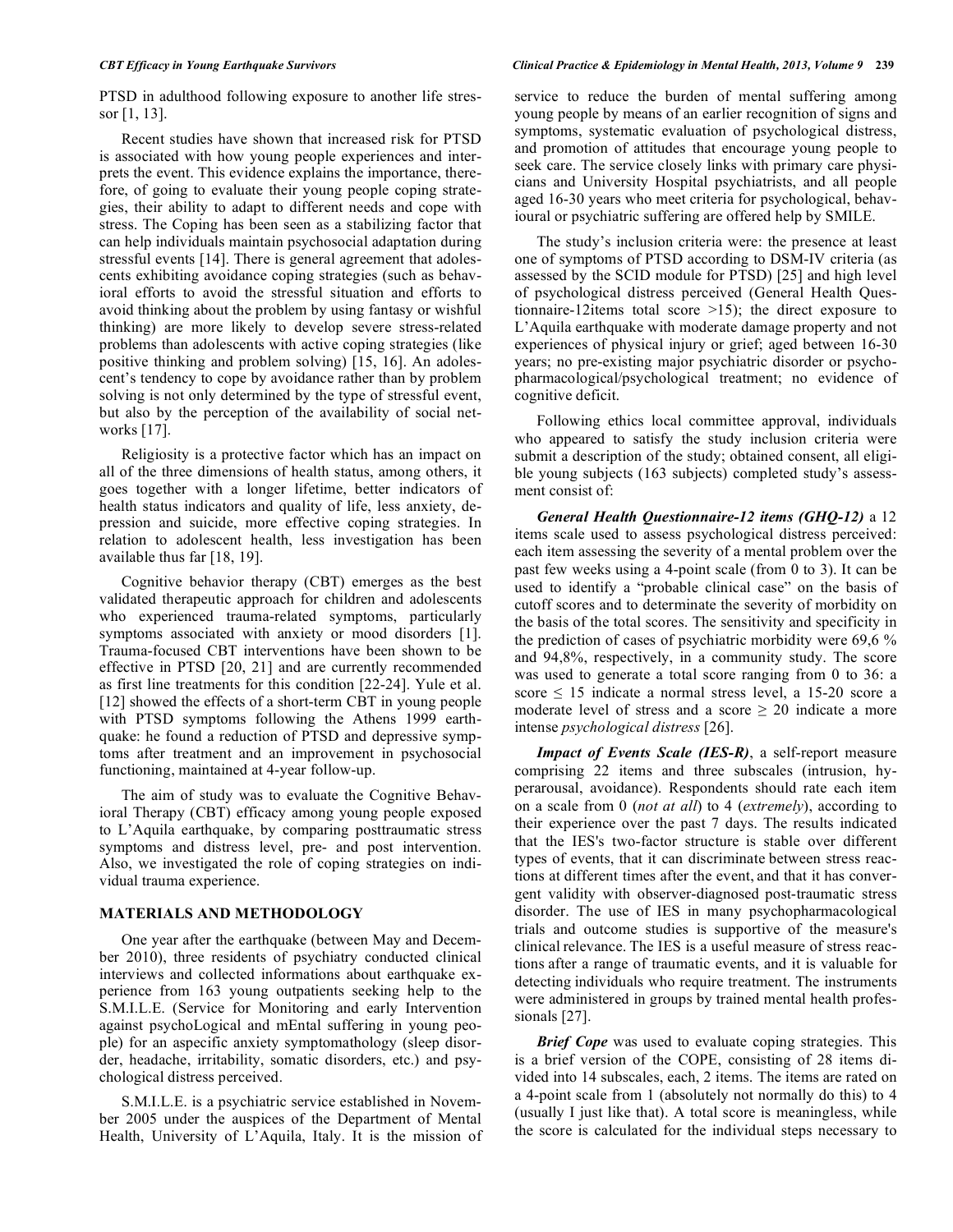PTSD in adulthood following exposure to another life stressor [1, 13].

Recent studies have shown that increased risk for PTSD is associated with how young people experiences and interprets the event. This evidence explains the importance, therefore, of going to evaluate their young people coping strategies, their ability to adapt to different needs and cope with stress. The Coping has been seen as a stabilizing factor that can help individuals maintain psychosocial adaptation during stressful events [14]. There is general agreement that adolescents exhibiting avoidance coping strategies (such as behavioral efforts to avoid the stressful situation and efforts to avoid thinking about the problem by using fantasy or wishful thinking) are more likely to develop severe stress-related problems than adolescents with active coping strategies (like positive thinking and problem solving) [15, 16]. An adolescent's tendency to cope by avoidance rather than by problem solving is not only determined by the type of stressful event, but also by the perception of the availability of social networks [17].

Religiosity is a protective factor which has an impact on all of the three dimensions of health status, among others, it goes together with a longer lifetime, better indicators of health status indicators and quality of life, less anxiety, depression and suicide, more effective coping strategies. In relation to adolescent health, less investigation has been available thus far [18, 19].

Cognitive behavior therapy (CBT) emerges as the best validated therapeutic approach for children and adolescents who experienced trauma-related symptoms, particularly symptoms associated with anxiety or mood disorders [1]. Trauma-focused CBT interventions have been shown to be effective in PTSD [20, 21] and are currently recommended as first line treatments for this condition [22-24]. Yule et al. [12] showed the effects of a short-term CBT in young people with PTSD symptoms following the Athens 1999 earthquake: he found a reduction of PTSD and depressive symptoms after treatment and an improvement in psychosocial functioning, maintained at 4-year follow-up.

The aim of study was to evaluate the Cognitive Behavioral Therapy (CBT) efficacy among young people exposed to L'Aquila earthquake, by comparing posttraumatic stress symptoms and distress level, pre- and post intervention. Also, we investigated the role of coping strategies on individual trauma experience.

### **MATERIALS AND METHODOLOGY**

One year after the earthquake (between May and December 2010), three residents of psychiatry conducted clinical interviews and collected informations about earthquake experience from 163 young outpatients seeking help to the S.M.I.L.E. (Service for Monitoring and early Intervention against psychoLogical and mEntal suffering in young people) for an aspecific anxiety symptomathology (sleep disorder, headache, irritability, somatic disorders, etc.) and psychological distress perceived.

S.M.I.L.E. is a psychiatric service established in November 2005 under the auspices of the Department of Mental Health, University of L'Aquila, Italy. It is the mission of service to reduce the burden of mental suffering among young people by means of an earlier recognition of signs and symptoms, systematic evaluation of psychological distress, and promotion of attitudes that encourage young people to seek care. The service closely links with primary care physicians and University Hospital psychiatrists, and all people aged 16-30 years who meet criteria for psychological, behavioural or psychiatric suffering are offered help by SMILE.

The study's inclusion criteria were: the presence at least one of symptoms of PTSD according to DSM-IV criteria (as assessed by the SCID module for PTSD) [25] and high level of psychological distress perceived (General Health Questionnaire-12items total score >15); the direct exposure to L'Aquila earthquake with moderate damage property and not experiences of physical injury or grief; aged between 16-30 years; no pre-existing major psychiatric disorder or psychopharmacological/psychological treatment; no evidence of cognitive deficit.

Following ethics local committee approval, individuals who appeared to satisfy the study inclusion criteria were submit a description of the study; obtained consent, all eligible young subjects (163 subjects) completed study's assessment consist of:

*General Health Questionnaire-12 items (GHQ-12)* a 12 items scale used to assess psychological distress perceived: each item assessing the severity of a mental problem over the past few weeks using a 4-point scale (from 0 to 3). It can be used to identify a "probable clinical case" on the basis of cutoff scores and to determinate the severity of morbidity on the basis of the total scores. The sensitivity and specificity in the prediction of cases of psychiatric morbidity were 69,6 % and 94,8%, respectively, in a community study. The score was used to generate a total score ranging from 0 to 36: a score ≤ 15 indicate a normal stress level, a 15-20 score a moderate level of stress and a score  $\geq 20$  indicate a more intense *psychological distress* [26].

*Impact of Events Scale (IES-R)*, a self-report measure comprising 22 items and three subscales (intrusion, hyperarousal, avoidance). Respondents should rate each item on a scale from 0 (*not at all*) to 4 (*extremely*), according to their experience over the past 7 days. The results indicated that the IES's two-factor structure is stable over different types of events, that it can discriminate between stress reactions at different times after the event, and that it has convergent validity with observer-diagnosed post-traumatic stress disorder. The use of IES in many psychopharmacological trials and outcome studies is supportive of the measure's clinical relevance. The IES is a useful measure of stress reactions after a range of traumatic events, and it is valuable for detecting individuals who require treatment. The instruments were administered in groups by trained mental health professionals [27].

*Brief Cope* was used to evaluate coping strategies. This is a brief version of the COPE, consisting of 28 items divided into 14 subscales, each, 2 items. The items are rated on a 4-point scale from 1 (absolutely not normally do this) to 4 (usually I just like that). A total score is meaningless, while the score is calculated for the individual steps necessary to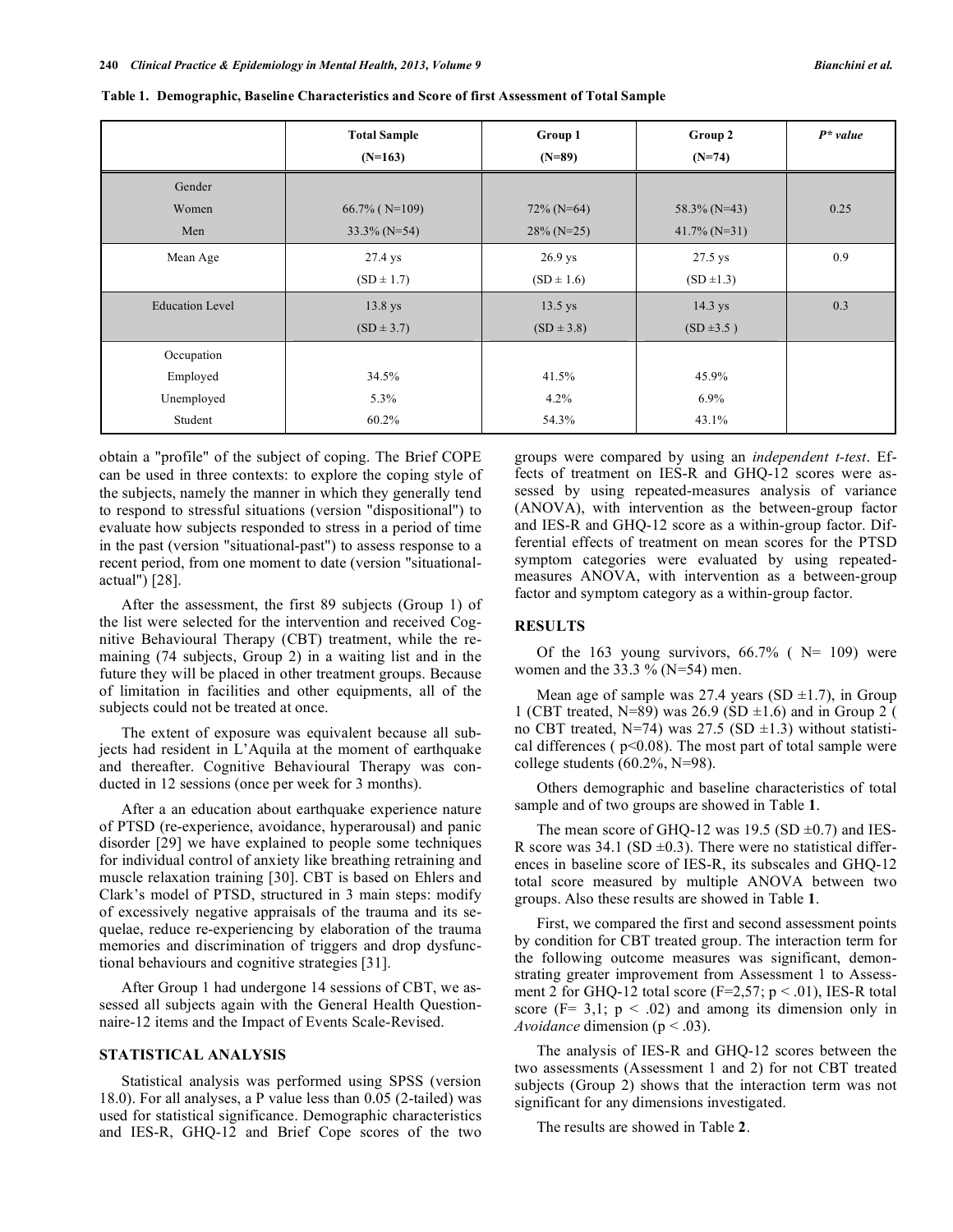|                        | <b>Total Sample</b> | Group 1        | Group 2         | $P^*$ value |
|------------------------|---------------------|----------------|-----------------|-------------|
|                        | $(N=163)$           | $(N=89)$       | $(N=74)$        |             |
| Gender                 |                     |                |                 |             |
| Women                  | $66.7\%$ (N=109)    | $72\%$ (N=64)  | $58.3\%$ (N=43) | 0.25        |
| Men                    | $33.3\%$ (N=54)     | $28\%$ (N=25)  | $41.7\%$ (N=31) |             |
| Mean Age               | 27.4 ys             | 26.9 ys        | 27.5 ys         | 0.9         |
|                        | $(SD \pm 1.7)$      | $(SD \pm 1.6)$ | $(SD \pm 1.3)$  |             |
| <b>Education Level</b> | 13.8 ys             | $13.5$ ys      | 14.3 ys         | 0.3         |
|                        | $(SD \pm 3.7)$      | $(SD \pm 3.8)$ | $(SD \pm 3.5)$  |             |
| Occupation             |                     |                |                 |             |
| Employed               | 34.5%               | 41.5%          | 45.9%           |             |
| Unemployed             | 5.3%                | 4.2%           | $6.9\%$         |             |
| Student                | 60.2%               | 54.3%          | 43.1%           |             |

**Table 1. Demographic, Baseline Characteristics and Score of first Assessment of Total Sample**

obtain a "profile" of the subject of coping. The Brief COPE can be used in three contexts: to explore the coping style of the subjects, namely the manner in which they generally tend to respond to stressful situations (version "dispositional") to evaluate how subjects responded to stress in a period of time in the past (version "situational-past") to assess response to a recent period, from one moment to date (version "situationalactual") [28].

After the assessment, the first 89 subjects (Group 1) of the list were selected for the intervention and received Cognitive Behavioural Therapy (CBT) treatment, while the remaining (74 subjects, Group 2) in a waiting list and in the future they will be placed in other treatment groups. Because of limitation in facilities and other equipments, all of the subjects could not be treated at once.

The extent of exposure was equivalent because all subjects had resident in L'Aquila at the moment of earthquake and thereafter. Cognitive Behavioural Therapy was conducted in 12 sessions (once per week for 3 months).

After a an education about earthquake experience nature of PTSD (re-experience, avoidance, hyperarousal) and panic disorder [29] we have explained to people some techniques for individual control of anxiety like breathing retraining and muscle relaxation training [30]. CBT is based on Ehlers and Clark's model of PTSD, structured in 3 main steps: modify of excessively negative appraisals of the trauma and its sequelae, reduce re-experiencing by elaboration of the trauma memories and discrimination of triggers and drop dysfunctional behaviours and cognitive strategies [31].

After Group 1 had undergone 14 sessions of CBT, we assessed all subjects again with the General Health Questionnaire-12 items and the Impact of Events Scale-Revised.

#### **STATISTICAL ANALYSIS**

Statistical analysis was performed using SPSS (version 18.0). For all analyses, a P value less than 0.05 (2-tailed) was used for statistical significance. Demographic characteristics and IES-R, GHQ-12 and Brief Cope scores of the two groups were compared by using an *independent t-test*. Effects of treatment on IES-R and GHQ-12 scores were assessed by using repeated-measures analysis of variance (ANOVA), with intervention as the between-group factor and IES-R and GHQ-12 score as a within-group factor. Differential effects of treatment on mean scores for the PTSD symptom categories were evaluated by using repeatedmeasures ANOVA, with intervention as a between-group factor and symptom category as a within-group factor.

# **RESULTS**

Of the 163 young survivors,  $66.7\%$  (N= 109) were women and the  $33.3 \%$  (N=54) men.

Mean age of sample was 27.4 years (SD  $\pm$ 1.7), in Group 1 (CBT treated, N=89) was  $26.9$  (SD  $\pm$ 1.6) and in Group 2 ( no CBT treated, N=74) was 27.5 (SD  $\pm$ 1.3) without statistical differences ( $p<0.08$ ). The most part of total sample were college students (60.2%, N=98).

Others demographic and baseline characteristics of total sample and of two groups are showed in Table **1**.

The mean score of GHQ-12 was 19.5 (SD  $\pm$ 0.7) and IES-R score was  $34.1$  (SD  $\pm$ 0.3). There were no statistical differences in baseline score of IES-R, its subscales and GHQ-12 total score measured by multiple ANOVA between two groups. Also these results are showed in Table **1**.

First, we compared the first and second assessment points by condition for CBT treated group. The interaction term for the following outcome measures was significant, demonstrating greater improvement from Assessment 1 to Assessment 2 for GHQ-12 total score ( $F=2,57$ ;  $p < .01$ ), IES-R total score ( $F = 3,1$ ;  $p < .02$ ) and among its dimension only in *Avoidance* dimension (p < .03).

The analysis of IES-R and GHQ-12 scores between the two assessments (Assessment 1 and 2) for not CBT treated subjects (Group 2) shows that the interaction term was not significant for any dimensions investigated.

The results are showed in Table **2**.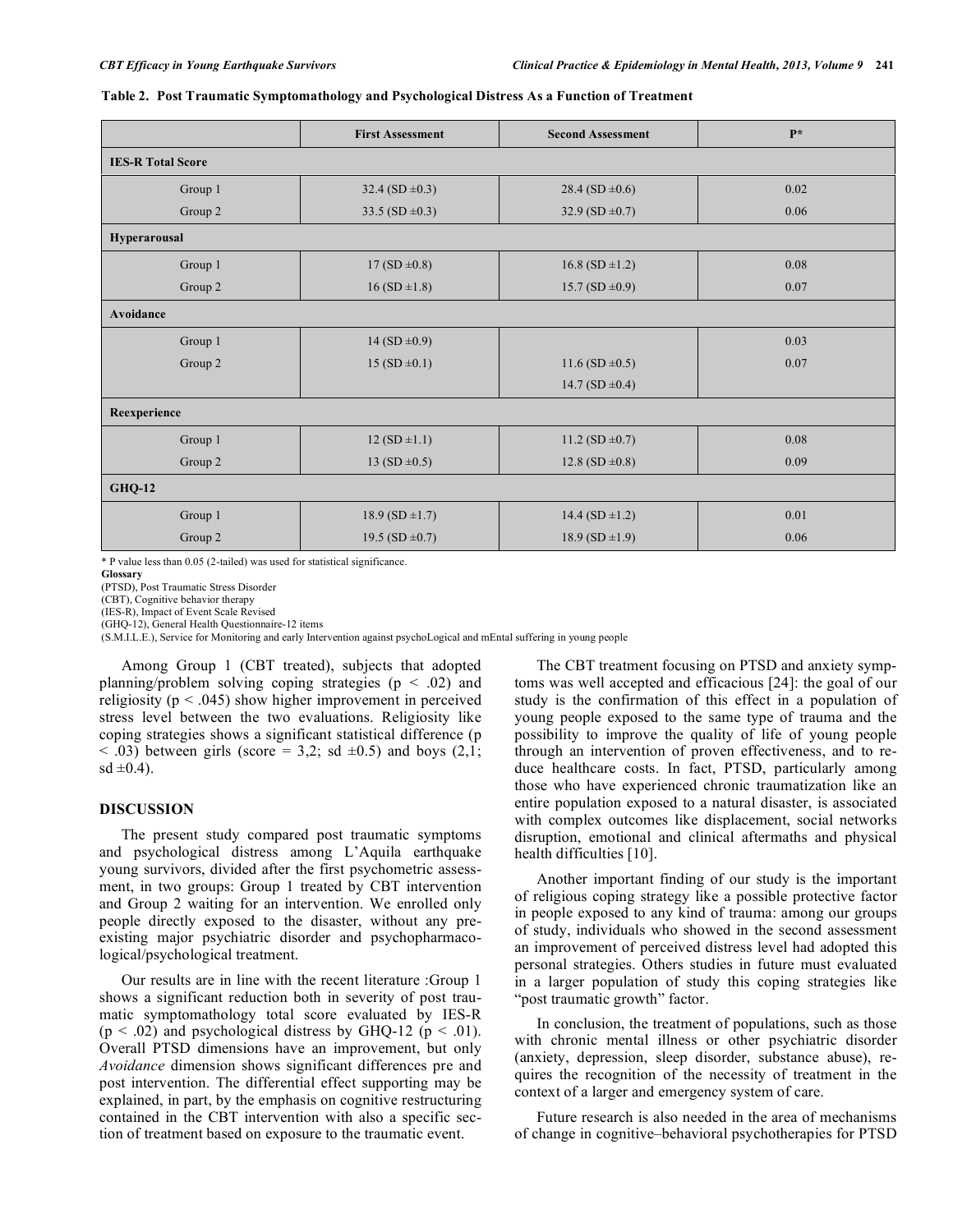|                          | <b>First Assessment</b> | <b>Second Assessment</b> | p*   |  |  |  |  |
|--------------------------|-------------------------|--------------------------|------|--|--|--|--|
| <b>IES-R Total Score</b> |                         |                          |      |  |  |  |  |
| Group 1                  | 32.4 (SD $\pm$ 0.3)     | 28.4 (SD $\pm$ 0.6)      | 0.02 |  |  |  |  |
| Group 2                  | 33.5 (SD $\pm$ 0.3)     | 32.9 (SD $\pm$ 0.7)      | 0.06 |  |  |  |  |
| Hyperarousal             |                         |                          |      |  |  |  |  |
| Group 1                  | $17(SD \pm 0.8)$        | $16.8$ (SD $\pm$ 1.2)    | 0.08 |  |  |  |  |
| Group 2                  | $16(SD \pm 1.8)$        | $15.7 (SD \pm 0.9)$      | 0.07 |  |  |  |  |
| Avoidance                |                         |                          |      |  |  |  |  |
| Group 1                  | $14(SD \pm 0.9)$        |                          | 0.03 |  |  |  |  |
| Group 2                  | $15 (SD \pm 0.1)$       | $11.6$ (SD $\pm$ 0.5)    | 0.07 |  |  |  |  |
|                          | 14.7 (SD $\pm$ 0.4)     |                          |      |  |  |  |  |
| Reexperience             |                         |                          |      |  |  |  |  |
| Group 1                  | $12(SD \pm 1.1)$        | 11.2 (SD $\pm$ 0.7)      | 0.08 |  |  |  |  |
| Group 2                  | 13 (SD $\pm$ 0.5)       |                          | 0.09 |  |  |  |  |
| <b>GHQ-12</b>            |                         |                          |      |  |  |  |  |
| Group 1                  | $18.9 (SD \pm 1.7)$     | 14.4 (SD ± 1.2)          | 0.01 |  |  |  |  |
| Group 2                  | 19.5 (SD $\pm$ 0.7)     |                          | 0.06 |  |  |  |  |

|  |  | Table 2. Post Traumatic Symptomathology and Psychological Distress As a Function of Treatment |  |  |  |  |  |
|--|--|-----------------------------------------------------------------------------------------------|--|--|--|--|--|
|  |  |                                                                                               |  |  |  |  |  |

\* P value less than 0.05 (2-tailed) was used for statistical significance.

**Glossary**

(PTSD), Post Traumatic Stress Disorder

(CBT), Cognitive behavior therapy

(IES-R), Impact of Event Scale Revised (GHQ-12), General Health Questionnaire-12 items

(S.M.I.L.E.), Service for Monitoring and early Intervention against psychoLogical and mEntal suffering in young people

Among Group 1 (CBT treated), subjects that adopted planning/problem solving coping strategies  $(p < .02)$  and religiosity ( $p < .045$ ) show higher improvement in perceived stress level between the two evaluations. Religiosity like coping strategies shows a significant statistical difference (p  $<$  0.03) between girls (score = 3,2; sd  $\pm$ 0.5) and boys (2,1;  $sd \pm 0.4$ ).

#### **DISCUSSION**

The present study compared post traumatic symptoms and psychological distress among L'Aquila earthquake young survivors, divided after the first psychometric assessment, in two groups: Group 1 treated by CBT intervention and Group 2 waiting for an intervention. We enrolled only people directly exposed to the disaster, without any preexisting major psychiatric disorder and psychopharmacological/psychological treatment.

Our results are in line with the recent literature :Group 1 shows a significant reduction both in severity of post traumatic symptomathology total score evaluated by IES-R  $(p < .02)$  and psychological distress by GHQ-12  $(p < .01)$ . Overall PTSD dimensions have an improvement, but only *Avoidance* dimension shows significant differences pre and post intervention. The differential effect supporting may be explained, in part, by the emphasis on cognitive restructuring contained in the CBT intervention with also a specific section of treatment based on exposure to the traumatic event.

The CBT treatment focusing on PTSD and anxiety symptoms was well accepted and efficacious [24]: the goal of our study is the confirmation of this effect in a population of young people exposed to the same type of trauma and the possibility to improve the quality of life of young people through an intervention of proven effectiveness, and to reduce healthcare costs. In fact, PTSD, particularly among those who have experienced chronic traumatization like an entire population exposed to a natural disaster, is associated with complex outcomes like displacement, social networks disruption, emotional and clinical aftermaths and physical health difficulties [10].

Another important finding of our study is the important of religious coping strategy like a possible protective factor in people exposed to any kind of trauma: among our groups of study, individuals who showed in the second assessment an improvement of perceived distress level had adopted this personal strategies. Others studies in future must evaluated in a larger population of study this coping strategies like "post traumatic growth" factor.

In conclusion, the treatment of populations, such as those with chronic mental illness or other psychiatric disorder (anxiety, depression, sleep disorder, substance abuse), requires the recognition of the necessity of treatment in the context of a larger and emergency system of care.

Future research is also needed in the area of mechanisms of change in cognitive–behavioral psychotherapies for PTSD